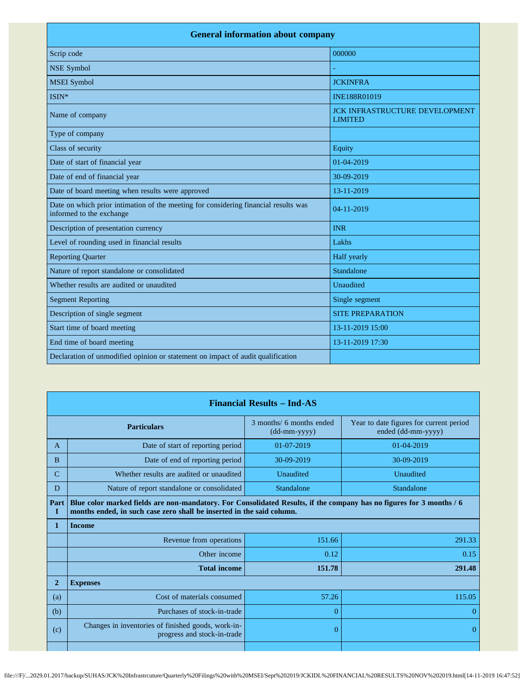| <b>General information about company</b>                                                                        |                                                         |  |  |
|-----------------------------------------------------------------------------------------------------------------|---------------------------------------------------------|--|--|
| Scrip code                                                                                                      | 000000                                                  |  |  |
| <b>NSE Symbol</b>                                                                                               |                                                         |  |  |
| <b>MSEI</b> Symbol                                                                                              | <b>JCKINFRA</b>                                         |  |  |
| ISIN*                                                                                                           | <b>INE188R01019</b>                                     |  |  |
| Name of company                                                                                                 | <b>JCK INFRASTRUCTURE DEVELOPMENT</b><br><b>LIMITED</b> |  |  |
| Type of company                                                                                                 |                                                         |  |  |
| Class of security                                                                                               | Equity                                                  |  |  |
| Date of start of financial year                                                                                 | $01-04-2019$                                            |  |  |
| Date of end of financial year                                                                                   | 30-09-2019                                              |  |  |
| Date of board meeting when results were approved                                                                | 13-11-2019                                              |  |  |
| Date on which prior intimation of the meeting for considering financial results was<br>informed to the exchange | $04 - 11 - 2019$                                        |  |  |
| Description of presentation currency                                                                            | <b>INR</b>                                              |  |  |
| Level of rounding used in financial results                                                                     | Lakhs                                                   |  |  |
| <b>Reporting Quarter</b>                                                                                        | Half yearly                                             |  |  |
| Nature of report standalone or consolidated                                                                     | Standalone                                              |  |  |
| Whether results are audited or unaudited                                                                        | Unaudited                                               |  |  |
| <b>Segment Reporting</b>                                                                                        | Single segment                                          |  |  |
| Description of single segment                                                                                   | <b>SITE PREPARATION</b>                                 |  |  |
| Start time of board meeting                                                                                     | 13-11-2019 15:00                                        |  |  |
| End time of board meeting                                                                                       | 13-11-2019 17:30                                        |  |  |
| Declaration of unmodified opinion or statement on impact of audit qualification                                 |                                                         |  |  |

|                | <b>Financial Results - Ind-AS</b>                                                                                                                                                             |                                          |                                                               |  |
|----------------|-----------------------------------------------------------------------------------------------------------------------------------------------------------------------------------------------|------------------------------------------|---------------------------------------------------------------|--|
|                | <b>Particulars</b>                                                                                                                                                                            | 3 months/ 6 months ended<br>(dd-mm-yyyy) | Year to date figures for current period<br>ended (dd-mm-yyyy) |  |
| A              | Date of start of reporting period                                                                                                                                                             | $01-07-2019$                             | $01-04-2019$                                                  |  |
| B              | Date of end of reporting period                                                                                                                                                               | 30-09-2019                               | 30-09-2019                                                    |  |
| $\mathcal{C}$  | Whether results are audited or unaudited                                                                                                                                                      | Unaudited                                | Unaudited                                                     |  |
| D              | Nature of report standalone or consolidated                                                                                                                                                   | Standalone                               | Standalone                                                    |  |
| Part<br>I      | Blue color marked fields are non-mandatory. For Consolidated Results, if the company has no figures for 3 months / 6<br>months ended, in such case zero shall be inserted in the said column. |                                          |                                                               |  |
| 1              | <b>Income</b>                                                                                                                                                                                 |                                          |                                                               |  |
|                | Revenue from operations                                                                                                                                                                       | 151.66                                   | 291.33                                                        |  |
|                | Other income                                                                                                                                                                                  | 0.12                                     | 0.15                                                          |  |
|                | <b>Total income</b>                                                                                                                                                                           | 151.78                                   | 291.48                                                        |  |
| $\overline{2}$ | <b>Expenses</b>                                                                                                                                                                               |                                          |                                                               |  |
| (a)            | Cost of materials consumed                                                                                                                                                                    | 57.26                                    | 115.05                                                        |  |
| (b)            | Purchases of stock-in-trade                                                                                                                                                                   | 0                                        | 0                                                             |  |
| (c)            | Changes in inventories of finished goods, work-in-<br>progress and stock-in-trade                                                                                                             | 0                                        | $\overline{0}$                                                |  |
|                |                                                                                                                                                                                               |                                          |                                                               |  |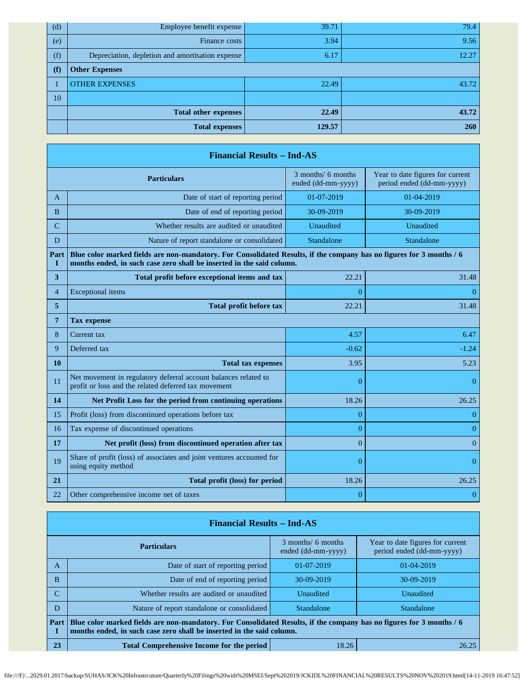| (d) | Employee benefit expense                         | 39.71  | 79.4  |
|-----|--------------------------------------------------|--------|-------|
| (e) | Finance costs                                    | 3.94   | 9.56  |
| (f) | Depreciation, depletion and amortisation expense | 6.17   | 12.27 |
| (f) | <b>Other Expenses</b>                            |        |       |
|     | <b>OTHER EXPENSES</b>                            | 22.49  | 43.72 |
| 10  |                                                  |        |       |
|     | <b>Total other expenses</b>                      | 22.49  | 43.72 |
|     | <b>Total expenses</b>                            | 129.57 | 260   |

|                   | <b>Financial Results - Ind-AS</b>                                                                                                                                                             |                                          |                                                               |  |  |
|-------------------|-----------------------------------------------------------------------------------------------------------------------------------------------------------------------------------------------|------------------------------------------|---------------------------------------------------------------|--|--|
|                   | <b>Particulars</b>                                                                                                                                                                            | 3 months/ 6 months<br>ended (dd-mm-yyyy) | Year to date figures for current<br>period ended (dd-mm-yyyy) |  |  |
| A                 | Date of start of reporting period                                                                                                                                                             | 01-07-2019                               | 01-04-2019                                                    |  |  |
| B                 | Date of end of reporting period                                                                                                                                                               | 30-09-2019                               | 30-09-2019                                                    |  |  |
| C                 | Whether results are audited or unaudited                                                                                                                                                      | Unaudited                                | Unaudited                                                     |  |  |
| D                 | Nature of report standalone or consolidated                                                                                                                                                   | Standalone                               | Standalone                                                    |  |  |
| Part<br>I         | Blue color marked fields are non-mandatory. For Consolidated Results, if the company has no figures for 3 months / 6<br>months ended, in such case zero shall be inserted in the said column. |                                          |                                                               |  |  |
| 3                 | Total profit before exceptional items and tax                                                                                                                                                 | 22.21                                    | 31.48                                                         |  |  |
| $\overline{4}$    | <b>Exceptional</b> items                                                                                                                                                                      | 0                                        | $\overline{0}$                                                |  |  |
| 5                 | <b>Total profit before tax</b>                                                                                                                                                                | 22.21                                    | 31.48                                                         |  |  |
| 7                 | <b>Tax expense</b>                                                                                                                                                                            |                                          |                                                               |  |  |
| 8                 | Current tax                                                                                                                                                                                   | 4.57                                     | 6.47                                                          |  |  |
| 9<br>Deferred tax |                                                                                                                                                                                               | $-0.62$                                  | $-1.24$                                                       |  |  |
| 10                | <b>Total tax expenses</b>                                                                                                                                                                     | 3.95                                     | 5.23                                                          |  |  |
| 11                | Net movement in regulatory deferral account balances related to<br>profit or loss and the related deferred tax movement                                                                       | $\overline{0}$                           | $\theta$                                                      |  |  |
| 14                | Net Profit Loss for the period from continuing operations                                                                                                                                     | 18.26                                    | 26.25                                                         |  |  |
| 15                | Profit (loss) from discontinued operations before tax                                                                                                                                         | $\overline{0}$                           | $\theta$                                                      |  |  |
| 16                | Tax expense of discontinued operations                                                                                                                                                        | $\overline{0}$                           | $\overline{0}$                                                |  |  |
| 17                | Net profit (loss) from discontinued operation after tax                                                                                                                                       | $\overline{0}$                           | $\theta$                                                      |  |  |
| 19                | Share of profit (loss) of associates and joint ventures accounted for<br>using equity method                                                                                                  | $\overline{0}$                           | $\theta$                                                      |  |  |
| 21                | Total profit (loss) for period                                                                                                                                                                | 18.26                                    | 26.25                                                         |  |  |
| 22                | Other comprehensive income net of taxes                                                                                                                                                       | $\overline{0}$                           | $\overline{0}$                                                |  |  |

|                                                                 | <b>Financial Results – Ind-AS</b>                                                                                                                                                             |                                          |                                                               |  |
|-----------------------------------------------------------------|-----------------------------------------------------------------------------------------------------------------------------------------------------------------------------------------------|------------------------------------------|---------------------------------------------------------------|--|
|                                                                 | <b>Particulars</b>                                                                                                                                                                            | 3 months/ 6 months<br>ended (dd-mm-yyyy) | Year to date figures for current<br>period ended (dd-mm-yyyy) |  |
| A                                                               | Date of start of reporting period                                                                                                                                                             | $01-07-2019$                             | 01-04-2019                                                    |  |
| B                                                               | Date of end of reporting period                                                                                                                                                               | $30-09-2019$                             | 30-09-2019                                                    |  |
|                                                                 | Whether results are audited or unaudited                                                                                                                                                      | Unaudited                                | Unaudited                                                     |  |
| D                                                               | Nature of report standalone or consolidated                                                                                                                                                   | Standalone                               | Standalone                                                    |  |
| Part                                                            | Blue color marked fields are non-mandatory. For Consolidated Results, if the company has no figures for 3 months / 6<br>months ended, in such case zero shall be inserted in the said column. |                                          |                                                               |  |
| 23<br><b>Total Comprehensive Income for the period</b><br>18.26 |                                                                                                                                                                                               | 26.25                                    |                                                               |  |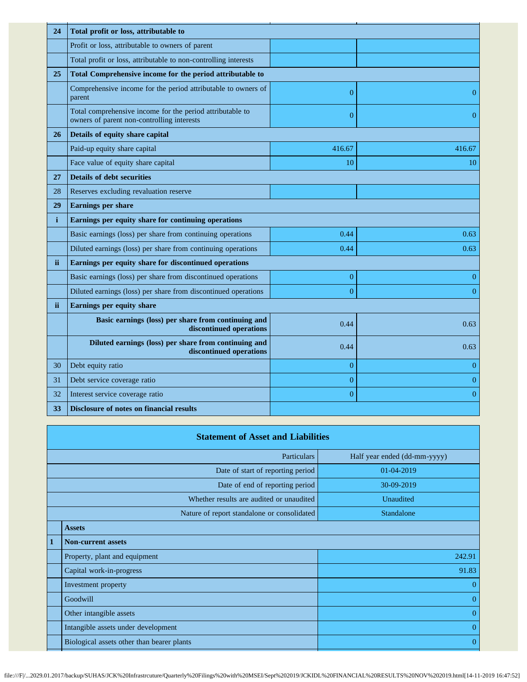| 24           | Total profit or loss, attributable to                                                                   |                |                |
|--------------|---------------------------------------------------------------------------------------------------------|----------------|----------------|
|              | Profit or loss, attributable to owners of parent                                                        |                |                |
|              | Total profit or loss, attributable to non-controlling interests                                         |                |                |
| 25           | Total Comprehensive income for the period attributable to                                               |                |                |
|              | Comprehensive income for the period attributable to owners of<br>parent                                 | $\overline{0}$ | $\Omega$       |
|              | Total comprehensive income for the period attributable to<br>owners of parent non-controlling interests | $\overline{0}$ | $\overline{0}$ |
| 26           | Details of equity share capital                                                                         |                |                |
|              | Paid-up equity share capital                                                                            | 416.67         | 416.67         |
|              | Face value of equity share capital                                                                      | 10             | 10             |
| 27           | <b>Details of debt securities</b>                                                                       |                |                |
| 28           | Reserves excluding revaluation reserve                                                                  |                |                |
| 29           | <b>Earnings per share</b>                                                                               |                |                |
| $\mathbf{i}$ | Earnings per equity share for continuing operations                                                     |                |                |
|              | Basic earnings (loss) per share from continuing operations                                              | 0.44           | 0.63           |
|              | Diluted earnings (loss) per share from continuing operations                                            | 0.44           | 0.63           |
| ii.          | Earnings per equity share for discontinued operations                                                   |                |                |
|              | Basic earnings (loss) per share from discontinued operations                                            | $\overline{0}$ | $\overline{0}$ |
|              | Diluted earnings (loss) per share from discontinued operations                                          | $\Omega$       | $\overline{0}$ |
| ii.          | Earnings per equity share                                                                               |                |                |
|              | Basic earnings (loss) per share from continuing and<br>discontinued operations                          | 0.44           | 0.63           |
|              | Diluted earnings (loss) per share from continuing and<br>discontinued operations                        | 0.44           | 0.63           |
| 30           | Debt equity ratio                                                                                       | $\overline{0}$ | $\overline{0}$ |
| 31           | Debt service coverage ratio                                                                             | $\mathbf{0}$   | $\overline{0}$ |
| 32           | Interest service coverage ratio                                                                         | $\overline{0}$ | $\overline{0}$ |
| 33           | Disclosure of notes on financial results                                                                |                |                |

|              | <b>Statement of Asset and Liabilities</b>          |                |  |
|--------------|----------------------------------------------------|----------------|--|
|              | <b>Particulars</b><br>Half year ended (dd-mm-yyyy) |                |  |
|              | Date of start of reporting period                  | 01-04-2019     |  |
|              | Date of end of reporting period                    | 30-09-2019     |  |
|              | Whether results are audited or unaudited           | Unaudited      |  |
|              | Nature of report standalone or consolidated        | Standalone     |  |
|              | <b>Assets</b>                                      |                |  |
| $\mathbf{1}$ | <b>Non-current assets</b>                          |                |  |
|              | Property, plant and equipment                      | 242.91         |  |
|              | Capital work-in-progress                           | 91.83          |  |
|              | Investment property                                | $\theta$       |  |
|              | Goodwill                                           | $\overline{0}$ |  |
|              | Other intangible assets                            | $\overline{0}$ |  |
|              | Intangible assets under development                | $\mathbf{0}$   |  |
|              | Biological assets other than bearer plants         | $\overline{0}$ |  |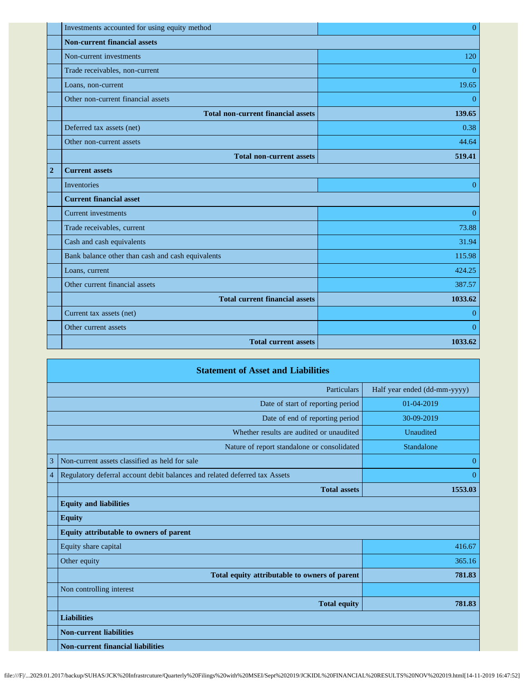|                | Investments accounted for using equity method     | $\overline{0}$ |
|----------------|---------------------------------------------------|----------------|
|                | <b>Non-current financial assets</b>               |                |
|                | Non-current investments                           | 120            |
|                | Trade receivables, non-current                    | $\overline{0}$ |
|                | Loans, non-current                                | 19.65          |
|                | Other non-current financial assets                | $\overline{0}$ |
|                | <b>Total non-current financial assets</b>         | 139.65         |
|                | Deferred tax assets (net)                         | 0.38           |
|                | Other non-current assets                          | 44.64          |
|                | <b>Total non-current assets</b>                   | 519.41         |
| $\overline{2}$ | <b>Current assets</b>                             |                |
|                | Inventories                                       | $\overline{0}$ |
|                | <b>Current financial asset</b>                    |                |
|                | <b>Current investments</b>                        | $\mathbf{0}$   |
|                | Trade receivables, current                        | 73.88          |
|                | Cash and cash equivalents                         | 31.94          |
|                | Bank balance other than cash and cash equivalents | 115.98         |
|                | Loans, current                                    | 424.25         |
|                | Other current financial assets                    | 387.57         |
|                | <b>Total current financial assets</b>             | 1033.62        |
|                | Current tax assets (net)                          | $\overline{0}$ |
|                | Other current assets                              | $\overline{0}$ |
|                | <b>Total current assets</b>                       | 1033.62        |

|                | <b>Statement of Asset and Liabilities</b>                                  |                              |
|----------------|----------------------------------------------------------------------------|------------------------------|
|                | Particulars                                                                | Half year ended (dd-mm-yyyy) |
|                | Date of start of reporting period                                          | $01-04-2019$                 |
|                | Date of end of reporting period                                            | 30-09-2019                   |
|                | Whether results are audited or unaudited                                   | Unaudited                    |
|                | Nature of report standalone or consolidated                                | Standalone                   |
| 3              | Non-current assets classified as held for sale                             | $\theta$                     |
| $\overline{4}$ | Regulatory deferral account debit balances and related deferred tax Assets | $\Omega$                     |
|                | <b>Total assets</b>                                                        | 1553.03                      |
|                | <b>Equity and liabilities</b>                                              |                              |
|                | <b>Equity</b>                                                              |                              |
|                | Equity attributable to owners of parent                                    |                              |
|                | Equity share capital                                                       | 416.67                       |
|                | Other equity                                                               | 365.16                       |
|                | Total equity attributable to owners of parent                              | 781.83                       |
|                | Non controlling interest                                                   |                              |
|                | <b>Total equity</b>                                                        | 781.83                       |
|                | <b>Liabilities</b>                                                         |                              |
|                | <b>Non-current liabilities</b>                                             |                              |
|                | <b>Non-current financial liabilities</b>                                   |                              |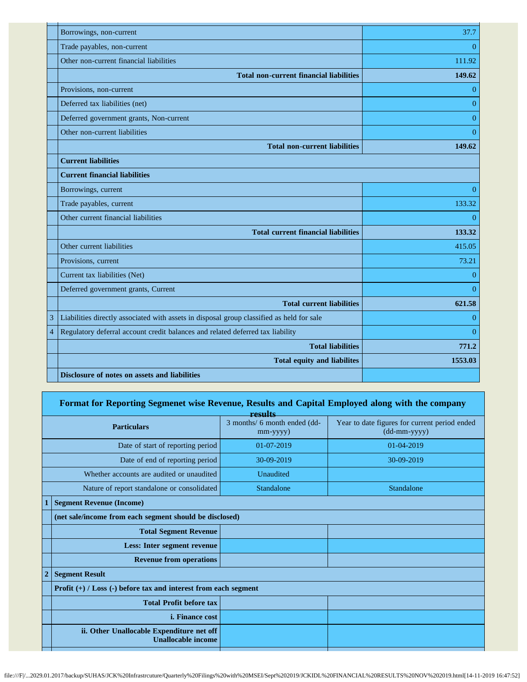|                | Borrowings, non-current                                                                   | 37.7           |
|----------------|-------------------------------------------------------------------------------------------|----------------|
|                | Trade payables, non-current                                                               | $\overline{0}$ |
|                | Other non-current financial liabilities                                                   | 111.92         |
|                | <b>Total non-current financial liabilities</b>                                            | 149.62         |
|                | Provisions, non-current                                                                   | $\Omega$       |
|                | Deferred tax liabilities (net)                                                            | $\Omega$       |
|                | Deferred government grants, Non-current                                                   | $\overline{0}$ |
|                | Other non-current liabilities                                                             | $\Omega$       |
|                | <b>Total non-current liabilities</b>                                                      | 149.62         |
|                | <b>Current liabilities</b>                                                                |                |
|                | <b>Current financial liabilities</b>                                                      |                |
|                | Borrowings, current                                                                       | $\overline{0}$ |
|                | Trade payables, current                                                                   | 133.32         |
|                | Other current financial liabilities                                                       | $\Omega$       |
|                | <b>Total current financial liabilities</b>                                                | 133.32         |
|                | Other current liabilities                                                                 | 415.05         |
|                | Provisions, current                                                                       | 73.21          |
|                | Current tax liabilities (Net)                                                             | $\theta$       |
|                | Deferred government grants, Current                                                       | $\Omega$       |
|                | <b>Total current liabilities</b>                                                          | 621.58         |
| 3              | Liabilities directly associated with assets in disposal group classified as held for sale | $\overline{0}$ |
| $\overline{4}$ | Regulatory deferral account credit balances and related deferred tax liability            | $\theta$       |
|                | <b>Total liabilities</b>                                                                  | 771.2          |
|                | <b>Total equity and liabilites</b>                                                        | 1553.03        |
|                | Disclosure of notes on assets and liabilities                                             |                |

## **Format for Reporting Segmenet wise Revenue, Results and Capital Employed along with the company**

| results                                                                |                                                |                                                                                       |
|------------------------------------------------------------------------|------------------------------------------------|---------------------------------------------------------------------------------------|
| <b>Particulars</b>                                                     | 3 months/ 6 month ended (dd-<br>$mm$ -yyyy $)$ | Year to date figures for current period ended<br>$(dd{\text{-}\!\!\,\text{mm-}}yyyy)$ |
| Date of start of reporting period                                      | 01-07-2019                                     | 01-04-2019                                                                            |
| Date of end of reporting period                                        | 30-09-2019                                     | 30-09-2019                                                                            |
| Whether accounts are audited or unaudited                              | Unaudited                                      |                                                                                       |
| Nature of report standalone or consolidated                            | Standalone                                     | Standalone                                                                            |
| <b>Segment Revenue (Income)</b>                                        |                                                |                                                                                       |
| (net sale/income from each segment should be disclosed)                |                                                |                                                                                       |
| <b>Total Segment Revenue</b>                                           |                                                |                                                                                       |
| Less: Inter segment revenue                                            |                                                |                                                                                       |
| <b>Revenue from operations</b>                                         |                                                |                                                                                       |
| <b>Segment Result</b>                                                  |                                                |                                                                                       |
| Profit $(+)$ / Loss $(-)$ before tax and interest from each segment    |                                                |                                                                                       |
| <b>Total Profit before tax</b>                                         |                                                |                                                                                       |
| <i>i.</i> Finance cost                                                 |                                                |                                                                                       |
| ii. Other Unallocable Expenditure net off<br><b>Unallocable income</b> |                                                |                                                                                       |
|                                                                        |                                                |                                                                                       |